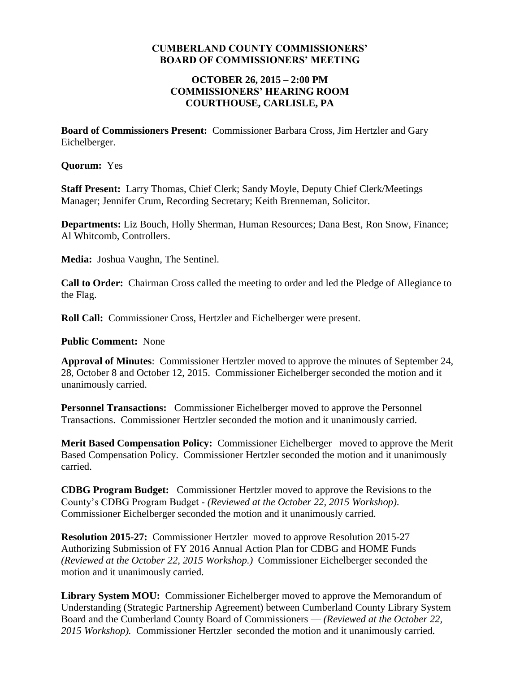#### **CUMBERLAND COUNTY COMMISSIONERS' BOARD OF COMMISSIONERS' MEETING**

#### **OCTOBER 26, 2015 – 2:00 PM COMMISSIONERS' HEARING ROOM COURTHOUSE, CARLISLE, PA**

**Board of Commissioners Present:** Commissioner Barbara Cross, Jim Hertzler and Gary Eichelberger.

**Quorum:** Yes

**Staff Present:** Larry Thomas, Chief Clerk; Sandy Moyle, Deputy Chief Clerk/Meetings Manager; Jennifer Crum, Recording Secretary; Keith Brenneman, Solicitor.

**Departments:** Liz Bouch, Holly Sherman, Human Resources; Dana Best, Ron Snow, Finance; Al Whitcomb, Controllers.

**Media:** Joshua Vaughn, The Sentinel.

**Call to Order:** Chairman Cross called the meeting to order and led the Pledge of Allegiance to the Flag.

**Roll Call:** Commissioner Cross, Hertzler and Eichelberger were present.

**Public Comment:** None

**Approval of Minutes**: Commissioner Hertzler moved to approve the minutes of September 24, 28, October 8 and October 12, 2015. Commissioner Eichelberger seconded the motion and it unanimously carried.

**Personnel Transactions:** Commissioner Eichelberger moved to approve the Personnel Transactions. Commissioner Hertzler seconded the motion and it unanimously carried.

**Merit Based Compensation Policy:** Commissioner Eichelberger moved to approve the Merit Based Compensation Policy. Commissioner Hertzler seconded the motion and it unanimously carried.

**CDBG Program Budget:** Commissioner Hertzler moved to approve the Revisions to the County's CDBG Program Budget - *(Reviewed at the October 22, 2015 Workshop)*. Commissioner Eichelberger seconded the motion and it unanimously carried.

**Resolution 2015-27:** Commissioner Hertzler moved to approve Resolution 2015-27 Authorizing Submission of FY 2016 Annual Action Plan for CDBG and HOME Funds *(Reviewed at the October 22, 2015 Workshop.)* Commissioner Eichelberger seconded the motion and it unanimously carried.

**Library System MOU:** Commissioner Eichelberger moved to approve the Memorandum of Understanding (Strategic Partnership Agreement) between Cumberland County Library System Board and the Cumberland County Board of Commissioners — *(Reviewed at the October 22, 2015 Workshop).* Commissioner Hertzler seconded the motion and it unanimously carried.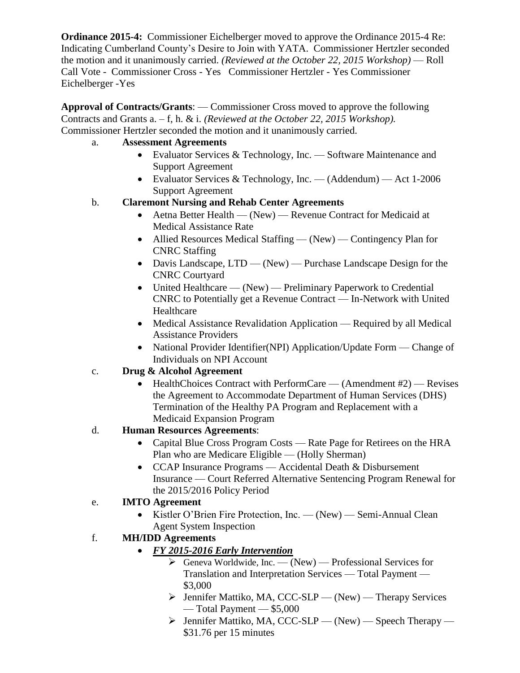**Ordinance 2015-4:** Commissioner Eichelberger moved to approve the Ordinance 2015-4 Re: Indicating Cumberland County's Desire to Join with YATA. Commissioner Hertzler seconded the motion and it unanimously carried. *(Reviewed at the October 22, 2015 Workshop)* — Roll Call Vote - Commissioner Cross - Yes Commissioner Hertzler - Yes Commissioner Eichelberger -Yes

**Approval of Contracts/Grants**: — Commissioner Cross moved to approve the following Contracts and Grants a. – f, h. & i. *(Reviewed at the October 22, 2015 Workshop).* Commissioner Hertzler seconded the motion and it unanimously carried.

- a. **Assessment Agreements**
	- Evaluator Services & Technology, Inc. Software Maintenance and Support Agreement
	- Evaluator Services & Technology, Inc. (Addendum) Act 1-2006 Support Agreement
- b. **Claremont Nursing and Rehab Center Agreements**
	- Aetna Better Health (New) Revenue Contract for Medicaid at Medical Assistance Rate
	- Allied Resources Medical Staffing (New) Contingency Plan for CNRC Staffing
	- Davis Landscape, LTD (New) Purchase Landscape Design for the CNRC Courtyard
	- United Healthcare (New) Preliminary Paperwork to Credential CNRC to Potentially get a Revenue Contract — In-Network with United Healthcare
	- Medical Assistance Revalidation Application Required by all Medical Assistance Providers
	- National Provider Identifier(NPI) Application/Update Form Change of Individuals on NPI Account
- c. **Drug & Alcohol Agreement** 
	- $\bullet$  HealthChoices Contract with PerformCare (Amendment #2) Revises the Agreement to Accommodate Department of Human Services (DHS) Termination of the Healthy PA Program and Replacement with a Medicaid Expansion Program

# d. **Human Resources Agreements**:

- Capital Blue Cross Program Costs Rate Page for Retirees on the HRA Plan who are Medicare Eligible — (Holly Sherman)
- CCAP Insurance Programs Accidental Death & Disbursement Insurance — Court Referred Alternative Sentencing Program Renewal for the 2015/2016 Policy Period

# e. **IMTO Agreement**

• Kistler O'Brien Fire Protection, Inc. — (New) — Semi-Annual Clean Agent System Inspection

# f. **MH/IDD Agreements**

- *FY 2015-2016 Early Intervention*
	- $\triangleright$  Geneva Worldwide, Inc. (New) Professional Services for Translation and Interpretation Services — Total Payment — \$3,000
	- $\triangleright$  Jennifer Mattiko, MA, CCC-SLP (New) Therapy Services — Total Payment — \$5,000
	- $\triangleright$  Jennifer Mattiko, MA, CCC-SLP (New) Speech Therapy \$31.76 per 15 minutes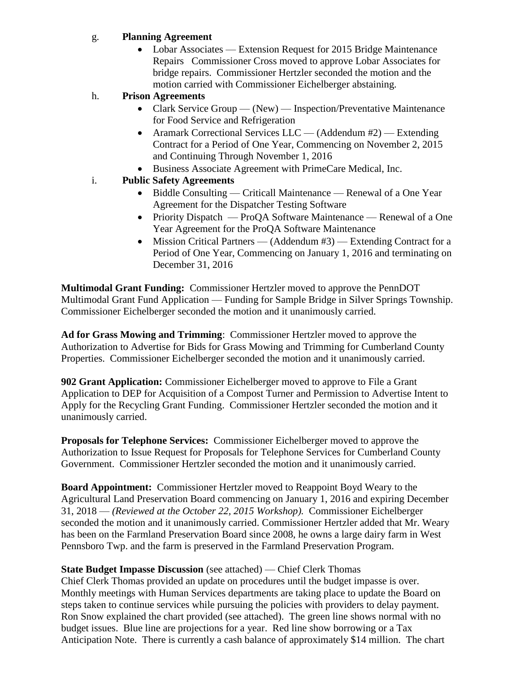#### g. **Planning Agreement**

• Lobar Associates — Extension Request for 2015 Bridge Maintenance Repairs Commissioner Cross moved to approve Lobar Associates for bridge repairs. Commissioner Hertzler seconded the motion and the motion carried with Commissioner Eichelberger abstaining.

## h. **Prison Agreements**

- Clark Service Group (New) Inspection/Preventative Maintenance for Food Service and Refrigeration
- Aramark Correctional Services LLC (Addendum #2) Extending Contract for a Period of One Year, Commencing on November 2, 2015 and Continuing Through November 1, 2016
- Business Associate Agreement with PrimeCare Medical, Inc.

## i. **Public Safety Agreements**

- Biddle Consulting Criticall Maintenance Renewal of a One Year Agreement for the Dispatcher Testing Software
- Priority Dispatch ProQA Software Maintenance Renewal of a One Year Agreement for the ProQA Software Maintenance
- Mission Critical Partners (Addendum #3) Extending Contract for a Period of One Year, Commencing on January 1, 2016 and terminating on December 31, 2016

**Multimodal Grant Funding:** Commissioner Hertzler moved to approve the PennDOT Multimodal Grant Fund Application — Funding for Sample Bridge in Silver Springs Township. Commissioner Eichelberger seconded the motion and it unanimously carried.

**Ad for Grass Mowing and Trimming**: Commissioner Hertzler moved to approve the Authorization to Advertise for Bids for Grass Mowing and Trimming for Cumberland County Properties. Commissioner Eichelberger seconded the motion and it unanimously carried.

**902 Grant Application:** Commissioner Eichelberger moved to approve to File a Grant Application to DEP for Acquisition of a Compost Turner and Permission to Advertise Intent to Apply for the Recycling Grant Funding. Commissioner Hertzler seconded the motion and it unanimously carried.

**Proposals for Telephone Services:** Commissioner Eichelberger moved to approve the Authorization to Issue Request for Proposals for Telephone Services for Cumberland County Government. Commissioner Hertzler seconded the motion and it unanimously carried.

**Board Appointment:** Commissioner Hertzler moved to Reappoint Boyd Weary to the Agricultural Land Preservation Board commencing on January 1, 2016 and expiring December 31, 2018 — *(Reviewed at the October 22, 2015 Workshop).* Commissioner Eichelberger seconded the motion and it unanimously carried. Commissioner Hertzler added that Mr. Weary has been on the Farmland Preservation Board since 2008, he owns a large dairy farm in West Pennsboro Twp. and the farm is preserved in the Farmland Preservation Program.

## **State Budget Impasse Discussion** (see attached) — Chief Clerk Thomas

Chief Clerk Thomas provided an update on procedures until the budget impasse is over. Monthly meetings with Human Services departments are taking place to update the Board on steps taken to continue services while pursuing the policies with providers to delay payment. Ron Snow explained the chart provided (see attached). The green line shows normal with no budget issues. Blue line are projections for a year. Red line show borrowing or a Tax Anticipation Note. There is currently a cash balance of approximately \$14 million. The chart